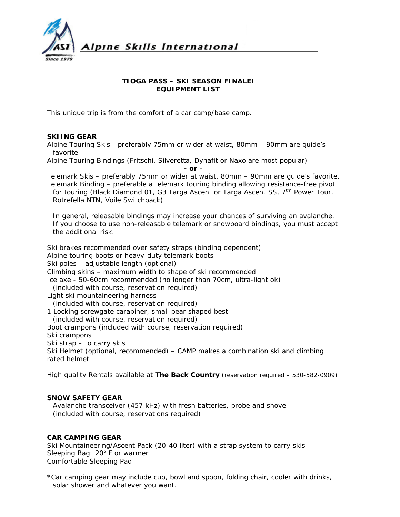

# **TIOGA PASS – SKI SEASON FINALE! EQUIPMENT LIST**

This unique trip is from the comfort of a car camp/base camp.

# **SKIING GEAR**

Alpine Touring Skis - preferably 75mm or wider at waist, 80mm – 90mm are guide's favorite.

Alpine Touring Bindings (Fritschi, Silveretta, Dynafit or Naxo are most popular)

*- or –* 

Telemark Skis – preferably 75mm or wider at waist, 80mm – 90mm are guide's favorite.

Telemark Binding – preferable a telemark touring binding allowing resistance-free pivot for touring (Black Diamond 01, G3 Targa Ascent or Targa Ascent SS,  $7<sup>tm</sup>$  Power Tour, Rotrefella NTN, Voile Switchback)

*In general, releasable bindings may increase your chances of surviving an avalanche. If you choose to use non-releasable telemark or snowboard bindings, you must accept the additional risk.* 

Ski brakes recommended over safety straps (binding dependent) Alpine touring boots or heavy-duty telemark boots Ski poles – adjustable length (optional) Climbing skins – maximum width to shape of ski recommended Ice axe - 50-60cm recommended (no longer than 70cm, ultra-light ok) *(included with course, reservation required)* Light ski mountaineering harness *(included with course, reservation required)*  1 Locking screwgate carabiner, small pear shaped best *(included with course, reservation required)*  Boot crampons *(included with course, reservation required)* Ski crampons Ski strap – to carry skis Ski Helmet (optional, recommended) – CAMP makes a combination ski and climbing rated helmet

*High quality Rentals available at The Back Country (reservation required – 530-582-0909)* 

## **SNOW SAFETY GEAR**

Avalanche transceiver (457 kHz) with fresh batteries, probe and shovel *(included with course, reservations required)*

## **CAR CAMPING GEAR**

Ski Mountaineering/Ascent Pack (20-40 liter) with a strap system to carry skis Sleeping Bag: 20° F or warmer Comfortable Sleeping Pad

*\*Car camping gear may include cup, bowl and spoon, folding chair, cooler with drinks, solar shower and whatever you want.*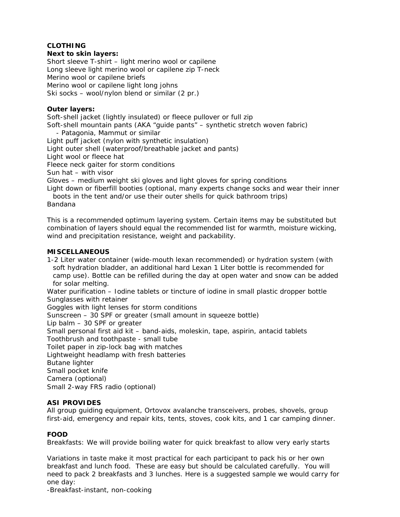# **CLOTHING**

#### **Next to skin layers:**

Short sleeve T-shirt – light merino wool or capilene Long sleeve light merino wool or capilene zip T-neck Merino wool or capilene briefs Merino wool or capilene light long johns Ski socks – wool/nylon blend or similar (2 pr.)

## **Outer layers:**

Soft-shell jacket (lightly insulated) or fleece pullover or full zip Soft-shell mountain pants (AKA "guide pants" – synthetic stretch woven fabric) - Patagonia, Mammut or similar Light puff jacket (nylon with synthetic insulation) Light outer shell (waterproof/breathable jacket and pants) Light wool or fleece hat Fleece neck gaiter for storm conditions Sun hat – with visor Gloves – medium weight ski gloves and light gloves for spring conditions Light down or fiberfill booties (optional, many experts change socks and wear their inner boots in the tent and/or use their outer shells for quick bathroom trips) Bandana

*This is a recommended optimum layering system. Certain items may be substituted but combination of layers should equal the recommended list for warmth, moisture wicking, wind and precipitation resistance, weight and packability.* 

## **MISCELLANEOUS**

1-2 Liter water container (wide-mouth lexan recommended) or hydration system (with soft hydration bladder, an additional hard Lexan 1 Liter bottle is recommended for camp use). Bottle can be refilled during the day at open water and snow can be added for solar melting.

Water purification – Iodine tablets or tincture of iodine in small plastic dropper bottle Sunglasses with retainer

Goggles with light lenses for storm conditions

Sunscreen – 30 SPF or greater (small amount in squeeze bottle)

Lip balm – 30 SPF or greater

Small personal first aid kit – band-aids, moleskin, tape, aspirin, antacid tablets

Toothbrush and toothpaste - small tube

Toilet paper in zip-lock bag with matches

Lightweight headlamp with fresh batteries

Butane lighter

Small pocket knife

Camera (optional)

Small 2-way FRS radio (optional)

## **ASI PROVIDES**

All group guiding equipment, Ortovox avalanche transceivers, probes, shovels, group first-aid, emergency and repair kits, tents, stoves, cook kits, and 1 car camping dinner.

## **FOOD**

Breakfasts: We will provide boiling water for quick breakfast to allow very early starts

Variations in taste make it most practical for each participant to pack his or her own breakfast and lunch food. These are easy but should be calculated carefully. You will need to pack 2 breakfasts and 3 lunches. Here is a suggested sample we would carry for one day:

-Breakfast-instant, non-cooking